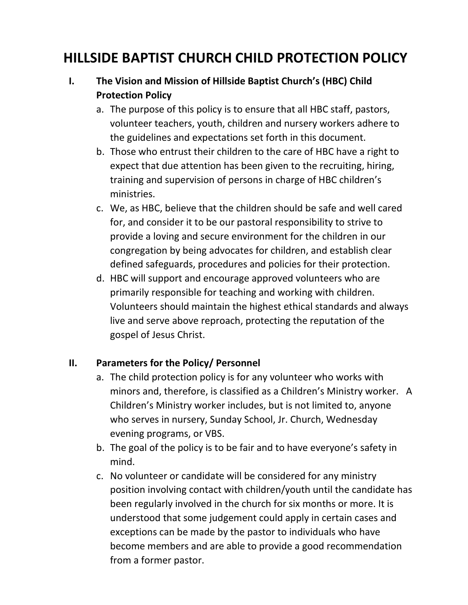# **HILLSIDE BAPTIST CHURCH CHILD PROTECTION POLICY**

# **I. The Vision and Mission of Hillside Baptist Church's (HBC) Child Protection Policy**

- a. The purpose of this policy is to ensure that all HBC staff, pastors, volunteer teachers, youth, children and nursery workers adhere to the guidelines and expectations set forth in this document.
- b. Those who entrust their children to the care of HBC have a right to expect that due attention has been given to the recruiting, hiring, training and supervision of persons in charge of HBC children's ministries.
- c. We, as HBC, believe that the children should be safe and well cared for, and consider it to be our pastoral responsibility to strive to provide a loving and secure environment for the children in our congregation by being advocates for children, and establish clear defined safeguards, procedures and policies for their protection.
- d. HBC will support and encourage approved volunteers who are primarily responsible for teaching and working with children. Volunteers should maintain the highest ethical standards and always live and serve above reproach, protecting the reputation of the gospel of Jesus Christ.

#### **II. Parameters for the Policy/ Personnel**

- a. The child protection policy is for any volunteer who works with minors and, therefore, is classified as a Children's Ministry worker. A Children's Ministry worker includes, but is not limited to, anyone who serves in nursery, Sunday School, Jr. Church, Wednesday evening programs, or VBS.
- b. The goal of the policy is to be fair and to have everyone's safety in mind.
- c. No volunteer or candidate will be considered for any ministry position involving contact with children/youth until the candidate has been regularly involved in the church for six months or more. It is understood that some judgement could apply in certain cases and exceptions can be made by the pastor to individuals who have become members and are able to provide a good recommendation from a former pastor.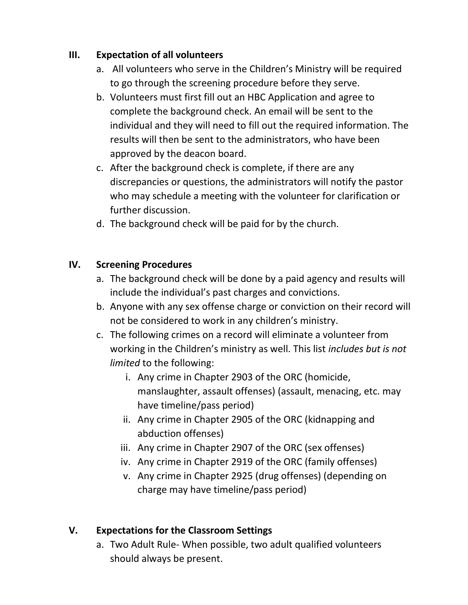#### **III. Expectation of all volunteers**

- a. All volunteers who serve in the Children's Ministry will be required to go through the screening procedure before they serve.
- b. Volunteers must first fill out an HBC Application and agree to complete the background check. An email will be sent to the individual and they will need to fill out the required information. The results will then be sent to the administrators, who have been approved by the deacon board.
- c. After the background check is complete, if there are any discrepancies or questions, the administrators will notify the pastor who may schedule a meeting with the volunteer for clarification or further discussion.
- d. The background check will be paid for by the church.

### **IV. Screening Procedures**

- a. The background check will be done by a paid agency and results will include the individual's past charges and convictions.
- b. Anyone with any sex offense charge or conviction on their record will not be considered to work in any children's ministry.
- c. The following crimes on a record will eliminate a volunteer from working in the Children's ministry as well. This list *includes but is not limited* to the following:
	- i. Any crime in Chapter 2903 of the ORC (homicide, manslaughter, assault offenses) (assault, menacing, etc. may have timeline/pass period)
	- ii. Any crime in Chapter 2905 of the ORC (kidnapping and abduction offenses)
	- iii. Any crime in Chapter 2907 of the ORC (sex offenses)
	- iv. Any crime in Chapter 2919 of the ORC (family offenses)
	- v. Any crime in Chapter 2925 (drug offenses) (depending on charge may have timeline/pass period)

# **V. Expectations for the Classroom Settings**

a. Two Adult Rule- When possible, two adult qualified volunteers should always be present.